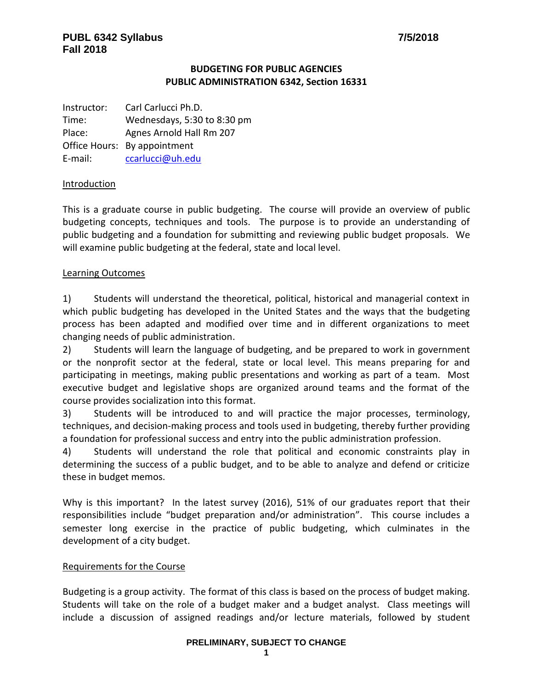# **BUDGETING FOR PUBLIC AGENCIES PUBLIC ADMINISTRATION 6342, Section 16331**

Instructor: Carl Carlucci Ph.D. Time: Wednesdays, 5:30 to 8:30 pm Place: Agnes Arnold Hall Rm 207 Office Hours: By appointment E-mail: [ccarlucci@uh.edu](mailto:ccarlucci@uh.edu)

## Introduction

This is a graduate course in public budgeting. The course will provide an overview of public budgeting concepts, techniques and tools. The purpose is to provide an understanding of public budgeting and a foundation for submitting and reviewing public budget proposals. We will examine public budgeting at the federal, state and local level.

#### Learning Outcomes

1) Students will understand the theoretical, political, historical and managerial context in which public budgeting has developed in the United States and the ways that the budgeting process has been adapted and modified over time and in different organizations to meet changing needs of public administration.

2) Students will learn the language of budgeting, and be prepared to work in government or the nonprofit sector at the federal, state or local level. This means preparing for and participating in meetings, making public presentations and working as part of a team. Most executive budget and legislative shops are organized around teams and the format of the course provides socialization into this format.

3) Students will be introduced to and will practice the major processes, terminology, techniques, and decision-making process and tools used in budgeting, thereby further providing a foundation for professional success and entry into the public administration profession.

4) Students will understand the role that political and economic constraints play in determining the success of a public budget, and to be able to analyze and defend or criticize these in budget memos.

Why is this important? In the latest survey (2016), 51% of our graduates report that their responsibilities include "budget preparation and/or administration". This course includes a semester long exercise in the practice of public budgeting, which culminates in the development of a city budget.

## Requirements for the Course

Budgeting is a group activity. The format of this class is based on the process of budget making. Students will take on the role of a budget maker and a budget analyst. Class meetings will include a discussion of assigned readings and/or lecture materials, followed by student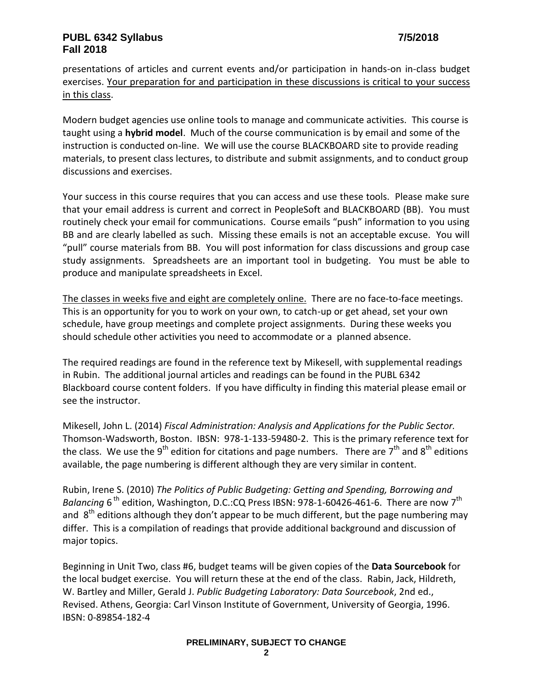presentations of articles and current events and/or participation in hands-on in-class budget exercises. Your preparation for and participation in these discussions is critical to your success in this class.

Modern budget agencies use online tools to manage and communicate activities. This course is taught using a **hybrid model**. Much of the course communication is by email and some of the instruction is conducted on-line. We will use the course BLACKBOARD site to provide reading materials, to present class lectures, to distribute and submit assignments, and to conduct group discussions and exercises.

Your success in this course requires that you can access and use these tools. Please make sure that your email address is current and correct in PeopleSoft and BLACKBOARD (BB). You must routinely check your email for communications. Course emails "push" information to you using BB and are clearly labelled as such. Missing these emails is not an acceptable excuse. You will "pull" course materials from BB. You will post information for class discussions and group case study assignments. Spreadsheets are an important tool in budgeting. You must be able to produce and manipulate spreadsheets in Excel.

The classes in weeks five and eight are completely online. There are no face-to-face meetings. This is an opportunity for you to work on your own, to catch-up or get ahead, set your own schedule, have group meetings and complete project assignments. During these weeks you should schedule other activities you need to accommodate or a planned absence.

The required readings are found in the reference text by Mikesell, with supplemental readings in Rubin. The additional journal articles and readings can be found in the PUBL 6342 Blackboard course content folders. If you have difficulty in finding this material please email or see the instructor.

Mikesell, John L. (2014) *Fiscal Administration: Analysis and Applications for the Public Sector.* Thomson-Wadsworth, Boston. IBSN: 978-1-133-59480-2. This is the primary reference text for the class. We use the 9<sup>th</sup> edition for citations and page numbers. There are 7<sup>th</sup> and 8<sup>th</sup> editions available, the page numbering is different although they are very similar in content.

Rubin, Irene S. (2010) *The Politics of Public Budgeting: Getting and Spending, Borrowing and* Balancing 6<sup>th</sup> edition, Washington, D.C.:CQ Press IBSN: 978-1-60426-461-6. There are now 7<sup>th</sup> and  $8^{\text{th}}$  editions although they don't appear to be much different, but the page numbering may differ. This is a compilation of readings that provide additional background and discussion of major topics.

Beginning in Unit Two, class #6, budget teams will be given copies of the **Data Sourcebook** for the local budget exercise. You will return these at the end of the class. Rabin, Jack, Hildreth, W. Bartley and Miller, Gerald J. *Public Budgeting Laboratory: Data Sourcebook*, 2nd ed., Revised. Athens, Georgia: Carl Vinson Institute of Government, University of Georgia, 1996. IBSN: 0-89854-182-4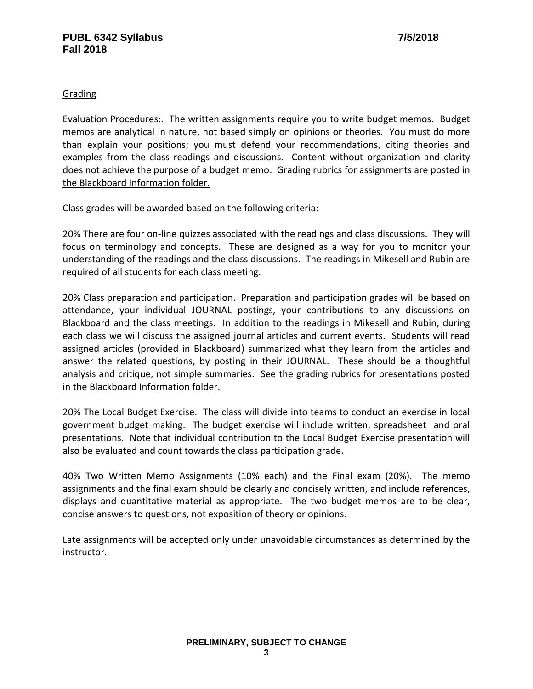# **Grading**

Evaluation Procedures:. The written assignments require you to write budget memos. Budget memos are analytical in nature, not based simply on opinions or theories. You must do more than explain your positions; you must defend your recommendations, citing theories and examples from the class readings and discussions. Content without organization and clarity does not achieve the purpose of a budget memo. Grading rubrics for assignments are posted in the Blackboard Information folder.

Class grades will be awarded based on the following criteria:

20% There are four on-line quizzes associated with the readings and class discussions. They will focus on terminology and concepts. These are designed as a way for you to monitor your understanding of the readings and the class discussions. The readings in Mikesell and Rubin are required of all students for each class meeting.

20% Class preparation and participation. Preparation and participation grades will be based on attendance, your individual JOURNAL postings, your contributions to any discussions on Blackboard and the class meetings. In addition to the readings in Mikesell and Rubin, during each class we will discuss the assigned journal articles and current events. Students will read assigned articles (provided in Blackboard) summarized what they learn from the articles and answer the related questions, by posting in their JOURNAL. These should be a thoughtful analysis and critique, not simple summaries. See the grading rubrics for presentations posted in the Blackboard Information folder.

20% The Local Budget Exercise. The class will divide into teams to conduct an exercise in local government budget making. The budget exercise will include written, spreadsheet and oral presentations. Note that individual contribution to the Local Budget Exercise presentation will also be evaluated and count towards the class participation grade.

40% Two Written Memo Assignments (10% each) and the Final exam (20%). The memo assignments and the final exam should be clearly and concisely written, and include references, displays and quantitative material as appropriate. The two budget memos are to be clear, concise answers to questions, not exposition of theory or opinions.

Late assignments will be accepted only under unavoidable circumstances as determined by the instructor.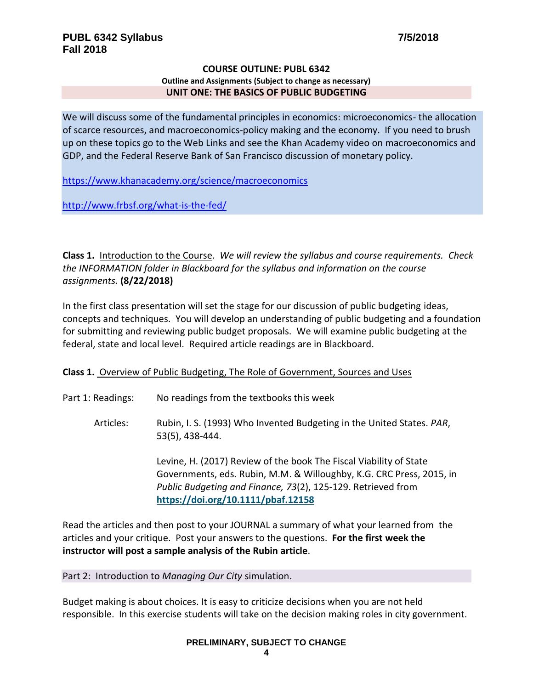#### **COURSE OUTLINE: PUBL 6342 Outline and Assignments (Subject to change as necessary) UNIT ONE: THE BASICS OF PUBLIC BUDGETING**

We will discuss some of the fundamental principles in economics: microeconomics- the allocation of scarce resources, and macroeconomics-policy making and the economy. If you need to brush up on these topics go to the Web Links and see the Khan Academy video on macroeconomics and GDP, and the Federal Reserve Bank of San Francisco discussion of monetary policy.

<https://www.khanacademy.org/science/macroeconomics>

<http://www.frbsf.org/what-is-the-fed/>

**Class 1.** Introduction to the Course. *We will review the syllabus and course requirements. Check the INFORMATION folder in Blackboard for the syllabus and information on the course assignments.* **(8/22/2018)**

In the first class presentation will set the stage for our discussion of public budgeting ideas, concepts and techniques. You will develop an understanding of public budgeting and a foundation for submitting and reviewing public budget proposals. We will examine public budgeting at the federal, state and local level. Required article readings are in Blackboard.

## **Class 1.** Overview of Public Budgeting, The Role of Government, Sources and Uses

- Part 1: Readings: No readings from the textbooks this week
	- Articles: Rubin, I. S. (1993) Who Invented Budgeting in the United States. *PAR*, 53(5), 438-444.

Levine, H. (2017) Review of the book The Fiscal Viability of State Governments, eds. Rubin, M.M. & Willoughby, K.G. CRC Press, 2015, in *Public Budgeting and Finance, 73*(2), 125-129. Retrieved from **<https://doi.org/10.1111/pbaf.12158>**

Read the articles and then post to your JOURNAL a summary of what your learned from the articles and your critique. Post your answers to the questions. **For the first week the instructor will post a sample analysis of the Rubin article**.

#### Part 2: Introduction to *Managing Our City* simulation.

Budget making is about choices. It is easy to criticize decisions when you are not held responsible. In this exercise students will take on the decision making roles in city government.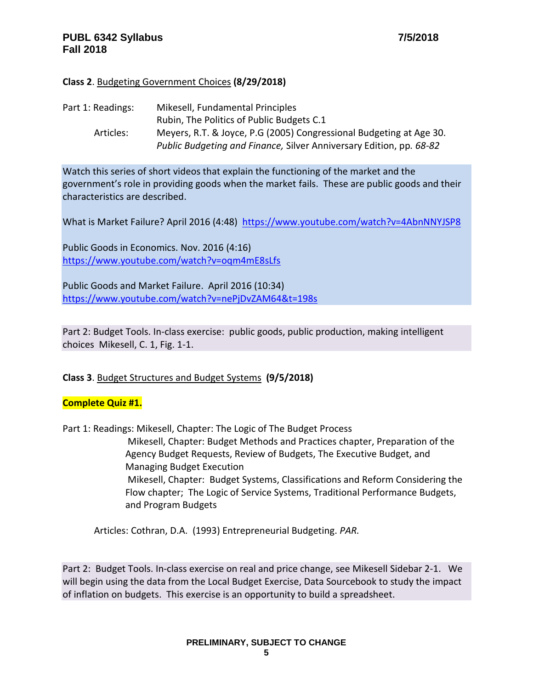# **Class 2**. Budgeting Government Choices **(8/29/2018)**

| Part 1: Readings: | Mikesell, Fundamental Principles                                    |
|-------------------|---------------------------------------------------------------------|
|                   | Rubin, The Politics of Public Budgets C.1                           |
| Articles:         | Meyers, R.T. & Joyce, P.G (2005) Congressional Budgeting at Age 30. |
|                   | Public Budgeting and Finance, Silver Anniversary Edition, pp. 68-82 |

Watch this series of short videos that explain the functioning of the market and the government's role in providing goods when the market fails. These are public goods and their characteristics are described.

What is Market Failure? April 2016 (4:48) <https://www.youtube.com/watch?v=4AbnNNYJSP8>

Public Goods in Economics. Nov. 2016 (4:16) <https://www.youtube.com/watch?v=oqm4mE8sLfs>

Public Goods and Market Failure. April 2016 (10:34) <https://www.youtube.com/watch?v=nePjDvZAM64&t=198s>

Part 2: Budget Tools. In-class exercise: public goods, public production, making intelligent choices Mikesell, C. 1, Fig. 1-1.

## **Class 3**. Budget Structures and Budget Systems **(9/5/2018)**

## **Complete Quiz #1.**

Part 1: Readings: Mikesell, Chapter: The Logic of The Budget Process

Mikesell, Chapter: Budget Methods and Practices chapter, Preparation of the Agency Budget Requests, Review of Budgets, The Executive Budget, and Managing Budget Execution Mikesell, Chapter: Budget Systems, Classifications and Reform Considering the Flow chapter; The Logic of Service Systems, Traditional Performance Budgets, and Program Budgets

Articles: Cothran, D.A. (1993) Entrepreneurial Budgeting. *PAR.*

Part 2: Budget Tools. In-class exercise on real and price change, see Mikesell Sidebar 2-1. We will begin using the data from the Local Budget Exercise, Data Sourcebook to study the impact of inflation on budgets. This exercise is an opportunity to build a spreadsheet.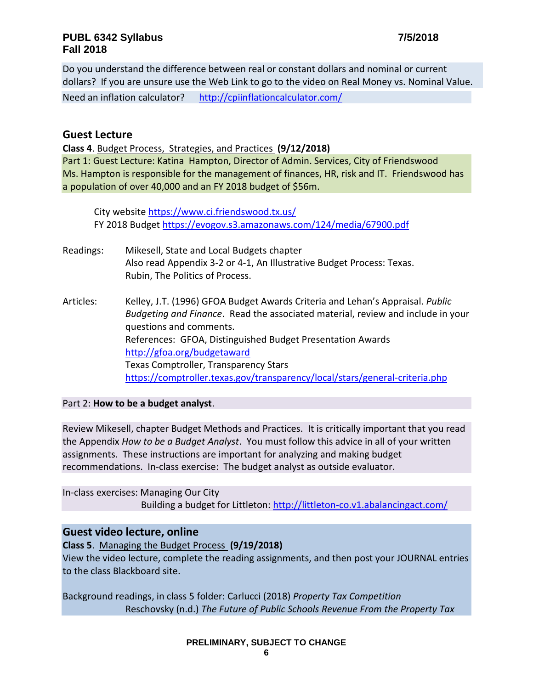Do you understand the difference between real or constant dollars and nominal or current dollars? If you are unsure use the Web Link to go to the video on Real Money vs. Nominal Value. Need an inflation calculator? <http://cpiinflationcalculator.com/>

# **Guest Lecture**

**Class 4**. Budget Process, Strategies, and Practices **(9/12/2018)** Part 1: Guest Lecture: Katina Hampton, Director of Admin. Services, City of Friendswood Ms. Hampton is responsible for the management of finances, HR, risk and IT. Friendswood has a population of over 40,000 and an FY 2018 budget of \$56m.

City website<https://www.ci.friendswood.tx.us/> FY 2018 Budget<https://evogov.s3.amazonaws.com/124/media/67900.pdf>

- Readings: Mikesell, State and Local Budgets chapter Also read Appendix 3-2 or 4-1, An Illustrative Budget Process: Texas. Rubin, The Politics of Process.
- Articles: Kelley, J.T. (1996) GFOA Budget Awards Criteria and Lehan's Appraisal. *Public Budgeting and Finance*. Read the associated material, review and include in your questions and comments. References: GFOA, Distinguished Budget Presentation Awards <http://gfoa.org/budgetaward> Texas Comptroller, Transparency Stars <https://comptroller.texas.gov/transparency/local/stars/general-criteria.php>

## Part 2: **How to be a budget analyst**.

Review Mikesell, chapter Budget Methods and Practices. It is critically important that you read the Appendix *How to be a Budget Analyst*. You must follow this advice in all of your written assignments. These instructions are important for analyzing and making budget recommendations. In-class exercise: The budget analyst as outside evaluator.

In-class exercises: Managing Our City Building a budget for Littleton:<http://littleton-co.v1.abalancingact.com/>

# **Guest video lecture, online**

**Class 5**. Managing the Budget Process **(9/19/2018)**

View the video lecture, complete the reading assignments, and then post your JOURNAL entries to the class Blackboard site.

Background readings, in class 5 folder: Carlucci (2018) *Property Tax Competition* Reschovsky (n.d.) *The Future of Public Schools Revenue From the Property Tax*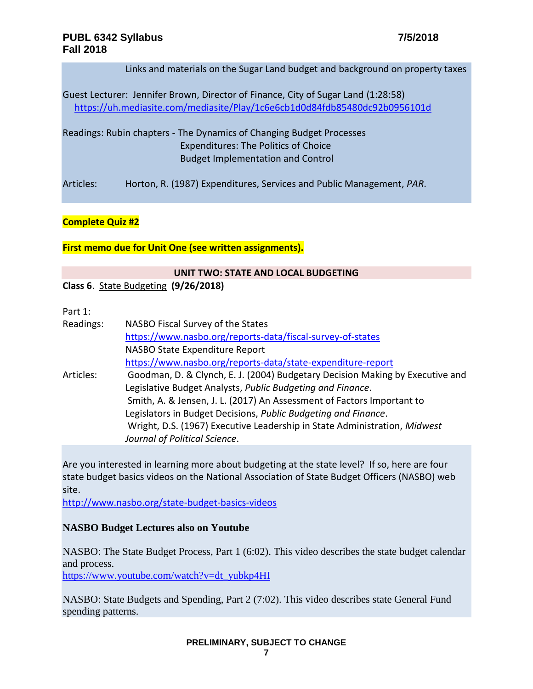Links and materials on the Sugar Land budget and background on property taxes

Guest Lecturer: Jennifer Brown, Director of Finance, City of Sugar Land (1:28:58) <https://uh.mediasite.com/mediasite/Play/1c6e6cb1d0d84fdb85480dc92b0956101d>

Readings: Rubin chapters - The Dynamics of Changing Budget Processes Expenditures: The Politics of Choice Budget Implementation and Control

Articles: Horton, R. (1987) Expenditures, Services and Public Management, *PAR*.

#### **Complete Quiz #2**

**First memo due for Unit One (see written assignments).**

# **UNIT TWO: STATE AND LOCAL BUDGETING**

**Class 6**. State Budgeting **(9/26/2018)**

# Part 1:

| Readings: | NASBO Fiscal Survey of the States                                             |
|-----------|-------------------------------------------------------------------------------|
|           | https://www.nasbo.org/reports-data/fiscal-survey-of-states                    |
|           | NASBO State Expenditure Report                                                |
|           | https://www.nasbo.org/reports-data/state-expenditure-report                   |
| Articles: | Goodman, D. & Clynch, E. J. (2004) Budgetary Decision Making by Executive and |
|           | Legislative Budget Analysts, Public Budgeting and Finance.                    |
|           | Smith, A. & Jensen, J. L. (2017) An Assessment of Factors Important to        |
|           | Legislators in Budget Decisions, Public Budgeting and Finance.                |
|           | Wright, D.S. (1967) Executive Leadership in State Administration, Midwest     |
|           | Journal of Political Science.                                                 |

Are you interested in learning more about budgeting at the state level? If so, here are four state budget basics videos on the National Association of State Budget Officers (NASBO) web site.

<http://www.nasbo.org/state-budget-basics-videos>

## **NASBO Budget Lectures also on Youtube**

NASBO: The State Budget Process, Part 1 (6:02). This video describes the state budget calendar and process.

[https://www.youtube.com/watch?v=dt\\_yubkp4HI](https://www.youtube.com/watch?v=dt_yubkp4HI)

NASBO: State Budgets and Spending, Part 2 (7:02). This video describes state General Fund spending patterns.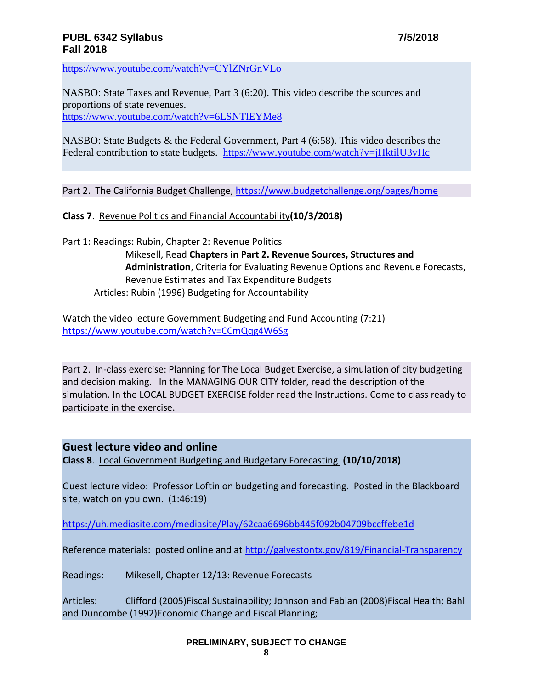<https://www.youtube.com/watch?v=CYlZNrGnVLo>

NASBO: State Taxes and Revenue, Part 3 (6:20). This video describe the sources and proportions of state revenues. <https://www.youtube.com/watch?v=6LSNTlEYMe8>

NASBO: State Budgets & the Federal Government, Part 4 (6:58). This video describes the Federal contribution to state budgets. <https://www.youtube.com/watch?v=jHktilU3vHc>

Part 2. The California Budget Challenge,<https://www.budgetchallenge.org/pages/home>

#### **Class 7**. Revenue Politics and Financial Accountability**(10/3/2018)**

Part 1: Readings: Rubin, Chapter 2: Revenue Politics

Mikesell, Read **Chapters in Part 2. Revenue Sources, Structures and Administration**, Criteria for Evaluating Revenue Options and Revenue Forecasts, Revenue Estimates and Tax Expenditure Budgets Articles: Rubin (1996) Budgeting for Accountability

Watch the video lecture Government Budgeting and Fund Accounting (7:21) <https://www.youtube.com/watch?v=CCmQqg4W6Sg>

Part 2. In-class exercise: Planning for The Local Budget Exercise, a simulation of city budgeting and decision making. In the MANAGING OUR CITY folder, read the description of the simulation. In the LOCAL BUDGET EXERCISE folder read the Instructions. Come to class ready to participate in the exercise.

# **Guest lecture video and online**

**Class 8**. Local Government Budgeting and Budgetary Forecasting **(10/10/2018)**

Guest lecture video: Professor Loftin on budgeting and forecasting. Posted in the Blackboard site, watch on you own. (1:46:19)

<https://uh.mediasite.com/mediasite/Play/62caa6696bb445f092b04709bccffebe1d>

Reference materials: posted online and at<http://galvestontx.gov/819/Financial-Transparency>

Readings: Mikesell, Chapter 12/13: Revenue Forecasts

Articles: Clifford (2005)Fiscal Sustainability; Johnson and Fabian (2008)Fiscal Health; Bahl and Duncombe (1992)Economic Change and Fiscal Planning;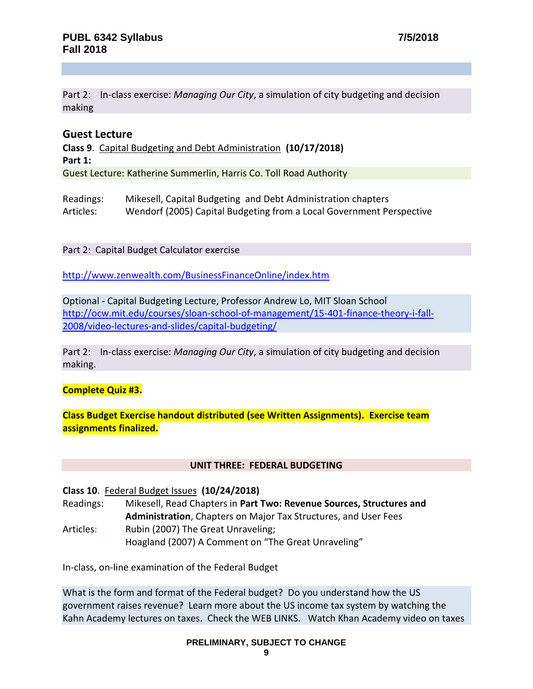Part 2: In-class exercise: *Managing Our City*, a simulation of city budgeting and decision making

# **Guest Lecture**

**Class 9**. Capital Budgeting and Debt Administration **(10/17/2018) Part 1:** Guest Lecture: Katherine Summerlin, Harris Co. Toll Road Authority

Readings: Mikesell, Capital Budgeting and Debt Administration chapters Articles: Wendorf (2005) Capital Budgeting from a Local Government Perspective

Part 2: Capital Budget Calculator exercise

<http://www.zenwealth.com/BusinessFinanceOnline/index.htm>

Optional - Capital Budgeting Lecture, Professor Andrew Lo, MIT Sloan School [http://ocw.mit.edu/courses/sloan-school-of-management/15-401-finance-theory-i-fall-](http://ocw.mit.edu/courses/sloan-school-of-management/15-401-finance-theory-i-fall-2008/video-lectures-and-slides/capital-budgeting/)[2008/video-lectures-and-slides/capital-budgeting/](http://ocw.mit.edu/courses/sloan-school-of-management/15-401-finance-theory-i-fall-2008/video-lectures-and-slides/capital-budgeting/)

Part 2: In-class exercise: *Managing Our City*, a simulation of city budgeting and decision making.

## **Complete Quiz #3.**

**Class Budget Exercise handout distributed (see Written Assignments). Exercise team assignments finalized.**

#### **UNIT THREE: FEDERAL BUDGETING**

**Class 10**. Federal Budget Issues **(10/24/2018)**

Readings: Mikesell, Read Chapters in **Part Two: Revenue Sources, Structures and Administration**, Chapters on Major Tax Structures, and User Fees Articles: Rubin (2007) The Great Unraveling; Hoagland (2007) A Comment on "The Great Unraveling"

In-class, on-line examination of the Federal Budget

What is the form and format of the Federal budget? Do you understand how the US government raises revenue? Learn more about the US income tax system by watching the Kahn Academy lectures on taxes. Check the WEB LINKS. Watch Khan Academy video on taxes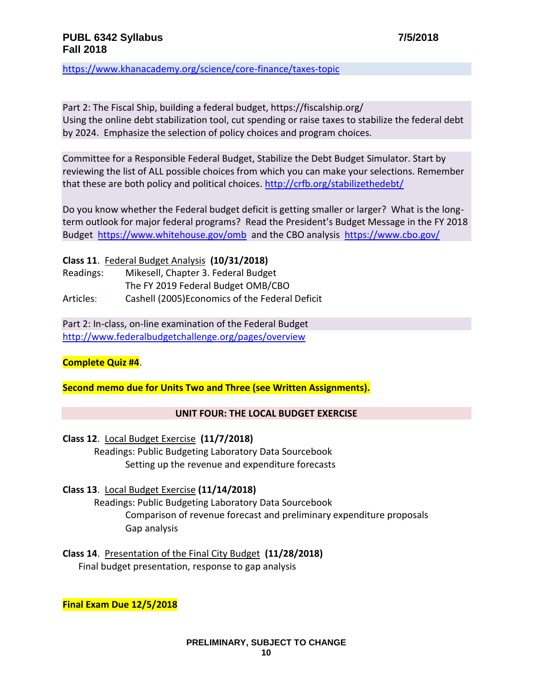<https://www.khanacademy.org/science/core-finance/taxes-topic>

Part 2: The Fiscal Ship, building a federal budget, https://fiscalship.org/ Using the online debt stabilization tool, cut spending or raise taxes to stabilize the federal debt by 2024. Emphasize the selection of policy choices and program choices.

Committee for a Responsible Federal Budget, Stabilize the Debt Budget Simulator. Start by reviewing the list of ALL possible choices from which you can make your selections. Remember that these are both policy and political choices. <http://crfb.org/stabilizethedebt/>

Do you know whether the Federal budget deficit is getting smaller or larger? What is the longterm outlook for major federal programs? Read the President's Budget Message in the FY 2018 Budget <https://www.whitehouse.gov/omb>and the CBO analysis <https://www.cbo.gov/>

**Class 11**. Federal Budget Analysis **(10/31/2018)**

Readings: Mikesell, Chapter 3. Federal Budget The FY 2019 Federal Budget OMB/CBO Articles: Cashell (2005)Economics of the Federal Deficit

Part 2: In-class, on-line examination of the Federal Budget <http://www.federalbudgetchallenge.org/pages/overview>

# **Complete Quiz #4**.

**Second memo due for Units Two and Three (see Written Assignments).**

## **UNIT FOUR: THE LOCAL BUDGET EXERCISE**

**Class 12**. Local Budget Exercise **(11/7/2018)**

Readings: Public Budgeting Laboratory Data Sourcebook Setting up the revenue and expenditure forecasts

## **Class 13**. Local Budget Exercise **(11/14/2018)**

Readings: Public Budgeting Laboratory Data Sourcebook Comparison of revenue forecast and preliminary expenditure proposals Gap analysis

**Class 14**. Presentation of the Final City Budget **(11/28/2018)** Final budget presentation, response to gap analysis

**Final Exam Due 12/5/2018**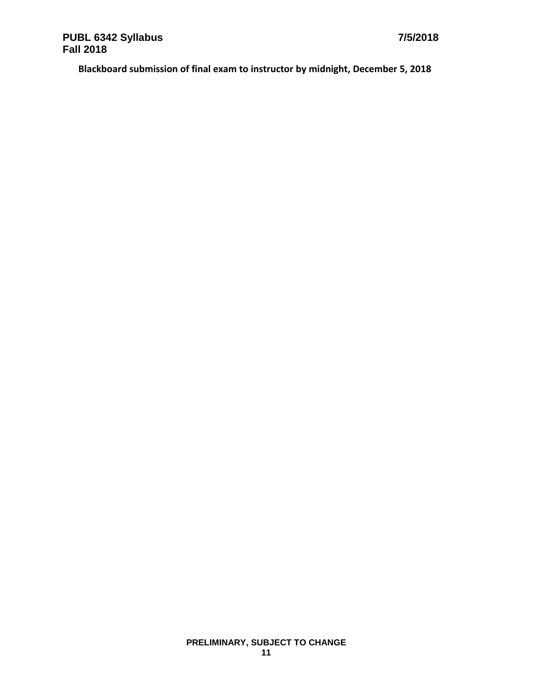**Blackboard submission of final exam to instructor by midnight, December 5, 2018**